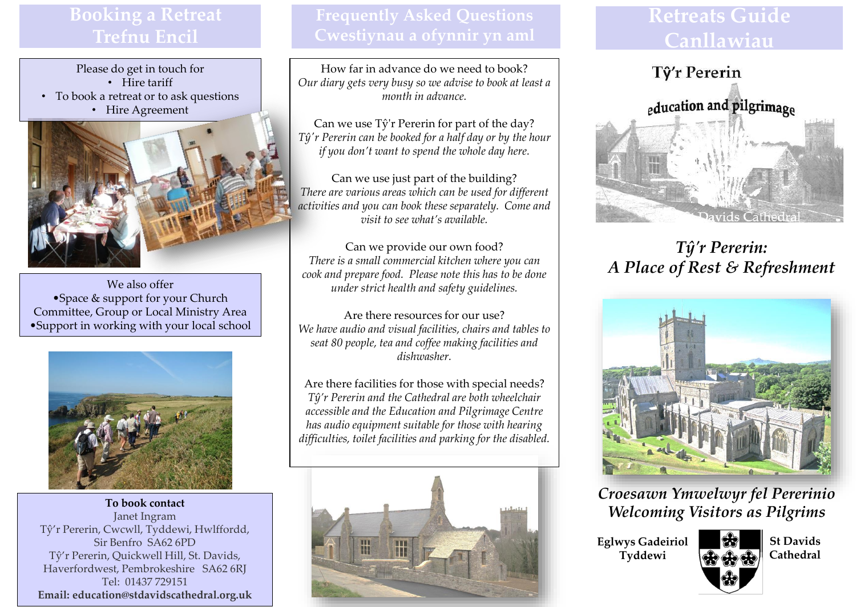## **Booking a Retreat Trefnu Encil**

Please do get in touch for • Hire tariff

- To book a retreat or to ask questions
	- Hire Agreement



We also offer •Space & support for your Church Committee, Group or Local Ministry Area •Support in working with your local school



**To book contact** Janet Ingram Tŷ'r Pererin, Cwcwll, Tyddewi, Hwlffordd, Sir Benfro SA62 6PD Tŷ'r Pererin, Quickwell Hill, St. Davids, Haverfordwest, Pembrokeshire SA62 6RJ Tel: 01437 729151 **Email: education@stdavidscathedral.org.uk** 

How far in advance do we need to book? *Our diary gets very busy so we advise to book at least a month in advance.*

Can we use Tŷ'r Pererin for part of the day? *Tŷ'r Pererin can be booked for a half day or by the hour if you don't want to spend the whole day here.*

Can we use just part of the building? *There are various areas which can be used for different activities and you can book these separately. Come and visit to see what's available.*

Can we provide our own food? *There is a small commercial kitchen where you can cook and prepare food. Please note this has to be done under strict health and safety guidelines.* 

Are there resources for our use? *We have audio and visual facilities, chairs and tables to seat 80 people, tea and coffee making facilities and dishwasher.*

Are there facilities for those with special needs? *Tŷ'r Pererin and the Cathedral are both wheelchair accessible and the Education and Pilgrimage Centre has audio equipment suitable for those with hearing difficulties, toilet facilities and parking for the disabled.* 



# **Retreats Guide Canllawiau**



*Tŷ'r Pererin: A Place of Rest & Refreshment*



*Croesawn Ymwelwyr fel Pererinio Welcoming Visitors as Pilgrims*

**Eglwys Gadeiriol Tyddewi**



**St Davids Cathedral**